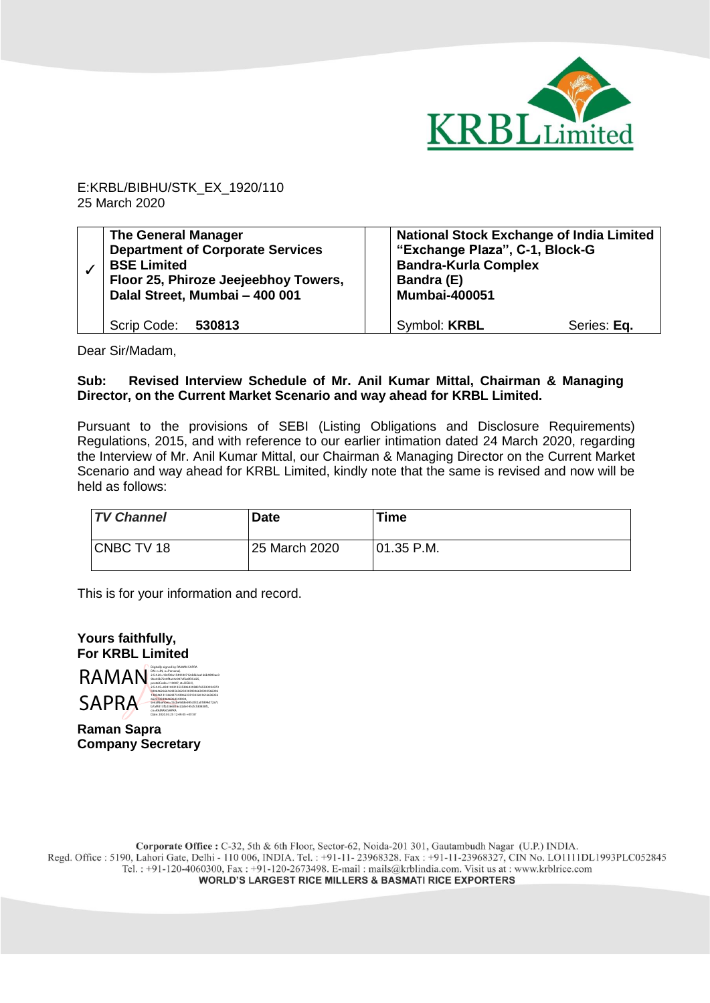

E:KRBL/BIBHU/STK\_EX\_1920/110 25 March 2020

| <b>The General Manager</b><br><b>Department of Corporate Services</b><br><b>BSE Limited</b><br>Floor 25, Phiroze Jeejeebhoy Towers,<br>Dalal Street, Mumbai - 400 001 | <b>National Stock Exchange of India Limited</b><br>"Exchange Plaza", C-1, Block-G<br><b>Bandra-Kurla Complex</b><br>Bandra (E)<br><b>Mumbai-400051</b> |
|-----------------------------------------------------------------------------------------------------------------------------------------------------------------------|--------------------------------------------------------------------------------------------------------------------------------------------------------|
| Scrip Code: 530813                                                                                                                                                    | Symbol: KRBL<br>Series: Eq.                                                                                                                            |

Dear Sir/Madam,

## **Sub: Revised Interview Schedule of Mr. Anil Kumar Mittal, Chairman & Managing Director, on the Current Market Scenario and way ahead for KRBL Limited.**

Pursuant to the provisions of SEBI (Listing Obligations and Disclosure Requirements) Regulations, 2015, and with reference to our earlier intimation dated 24 March 2020, regarding the Interview of Mr. Anil Kumar Mittal, our Chairman & Managing Director on the Current Market Scenario and way ahead for KRBL Limited, kindly note that the same is revised and now will be held as follows:

| <b>TV Channel</b> | Date          | <b>Time</b>   |
|-------------------|---------------|---------------|
| CNBC TV 18        | 25 March 2020 | $101.35$ P.M. |

This is for your information and record.

**Yours faithfully, For KRBL Limited**



**Raman Sapra Company Secretary**